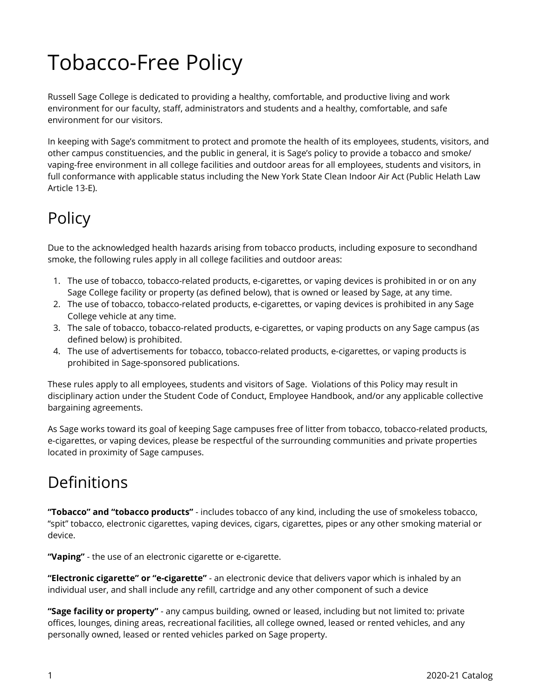## Tobacco-Free Policy

Russell Sage College is dedicated to providing a healthy, comfortable, and productive living and work environment for our faculty, staff, administrators and students and a healthy, comfortable, and safe environment for our visitors.

In keeping with Sage's commitment to protect and promote the health of its employees, students, visitors, and other campus constituencies, and the public in general, it is Sage's policy to provide a tobacco and smoke/ vaping-free environment in all college facilities and outdoor areas for all employees, students and visitors, in full conformance with applicable status including the New York State Clean Indoor Air Act (Public Helath Law Article 13-E).

## Policy

Due to the acknowledged health hazards arising from tobacco products, including exposure to secondhand smoke, the following rules apply in all college facilities and outdoor areas:

- 1. The use of tobacco, tobacco-related products, e-cigarettes, or vaping devices is prohibited in or on any Sage College facility or property (as defined below), that is owned or leased by Sage, at any time.
- 2. The use of tobacco, tobacco-related products, e-cigarettes, or vaping devices is prohibited in any Sage College vehicle at any time.
- 3. The sale of tobacco, tobacco-related products, e-cigarettes, or vaping products on any Sage campus (as defined below) is prohibited.
- 4. The use of advertisements for tobacco, tobacco-related products, e-cigarettes, or vaping products is prohibited in Sage-sponsored publications.

These rules apply to all employees, students and visitors of Sage. Violations of this Policy may result in disciplinary action under the Student Code of Conduct, Employee Handbook, and/or any applicable collective bargaining agreements.

As Sage works toward its goal of keeping Sage campuses free of litter from tobacco, tobacco-related products, e-cigarettes, or vaping devices, please be respectful of the surrounding communities and private properties located in proximity of Sage campuses.

## Definitions

**"Tobacco" and "tobacco products"** - includes tobacco of any kind, including the use of smokeless tobacco, "spit" tobacco, electronic cigarettes, vaping devices, cigars, cigarettes, pipes or any other smoking material or device.

**"Vaping"** - the use of an electronic cigarette or e-cigarette.

**"Electronic cigarette" or "e-cigarette"** - an electronic device that delivers vapor which is inhaled by an individual user, and shall include any refill, cartridge and any other component of such a device

**"Sage facility or property"** - any campus building, owned or leased, including but not limited to: private offices, lounges, dining areas, recreational facilities, all college owned, leased or rented vehicles, and any personally owned, leased or rented vehicles parked on Sage property.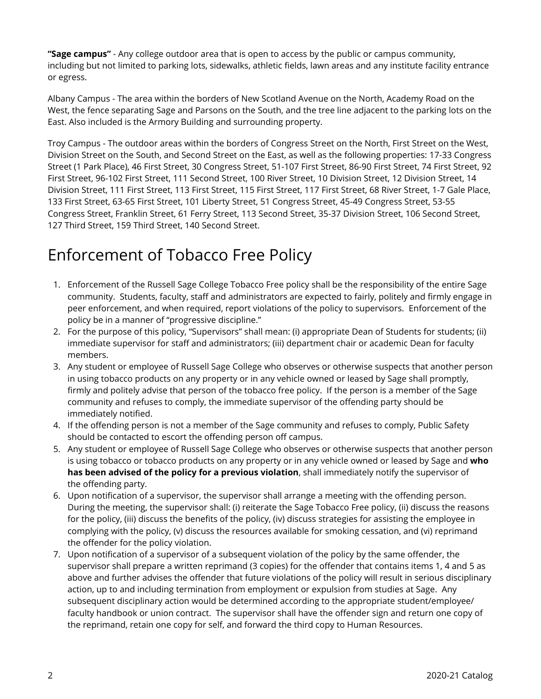**"Sage campus"** - Any college outdoor area that is open to access by the public or campus community, including but not limited to parking lots, sidewalks, athletic fields, lawn areas and any institute facility entrance or egress.

Albany Campus - The area within the borders of New Scotland Avenue on the North, Academy Road on the West, the fence separating Sage and Parsons on the South, and the tree line adjacent to the parking lots on the East. Also included is the Armory Building and surrounding property.

Troy Campus - The outdoor areas within the borders of Congress Street on the North, First Street on the West, Division Street on the South, and Second Street on the East, as well as the following properties: 17-33 Congress Street (1 Park Place), 46 First Street, 30 Congress Street, 51-107 First Street, 86-90 First Street, 74 First Street, 92 First Street, 96-102 First Street, 111 Second Street, 100 River Street, 10 Division Street, 12 Division Street, 14 Division Street, 111 First Street, 113 First Street, 115 First Street, 117 First Street, 68 River Street, 1-7 Gale Place, 133 First Street, 63-65 First Street, 101 Liberty Street, 51 Congress Street, 45-49 Congress Street, 53-55 Congress Street, Franklin Street, 61 Ferry Street, 113 Second Street, 35-37 Division Street, 106 Second Street, 127 Third Street, 159 Third Street, 140 Second Street.

## Enforcement of Tobacco Free Policy

- 1. Enforcement of the Russell Sage College Tobacco Free policy shall be the responsibility of the entire Sage community. Students, faculty, staff and administrators are expected to fairly, politely and firmly engage in peer enforcement, and when required, report violations of the policy to supervisors. Enforcement of the policy be in a manner of "progressive discipline."
- 2. For the purpose of this policy, "Supervisors" shall mean: (i) appropriate Dean of Students for students; (ii) immediate supervisor for staff and administrators; (iii) department chair or academic Dean for faculty members.
- 3. Any student or employee of Russell Sage College who observes or otherwise suspects that another person in using tobacco products on any property or in any vehicle owned or leased by Sage shall promptly, firmly and politely advise that person of the tobacco free policy. If the person is a member of the Sage community and refuses to comply, the immediate supervisor of the offending party should be immediately notified.
- 4. If the offending person is not a member of the Sage community and refuses to comply, Public Safety should be contacted to escort the offending person off campus.
- 5. Any student or employee of Russell Sage College who observes or otherwise suspects that another person is using tobacco or tobacco products on any property or in any vehicle owned or leased by Sage and **who has been advised of the policy for a previous violation**, shall immediately notify the supervisor of the offending party.
- 6. Upon notification of a supervisor, the supervisor shall arrange a meeting with the offending person. During the meeting, the supervisor shall: (i) reiterate the Sage Tobacco Free policy, (ii) discuss the reasons for the policy, (iii) discuss the benefits of the policy, (iv) discuss strategies for assisting the employee in complying with the policy, (v) discuss the resources available for smoking cessation, and (vi) reprimand the offender for the policy violation.
- 7. Upon notification of a supervisor of a subsequent violation of the policy by the same offender, the supervisor shall prepare a written reprimand (3 copies) for the offender that contains items 1, 4 and 5 as above and further advises the offender that future violations of the policy will result in serious disciplinary action, up to and including termination from employment or expulsion from studies at Sage. Any subsequent disciplinary action would be determined according to the appropriate student/employee/ faculty handbook or union contract. The supervisor shall have the offender sign and return one copy of the reprimand, retain one copy for self, and forward the third copy to Human Resources.